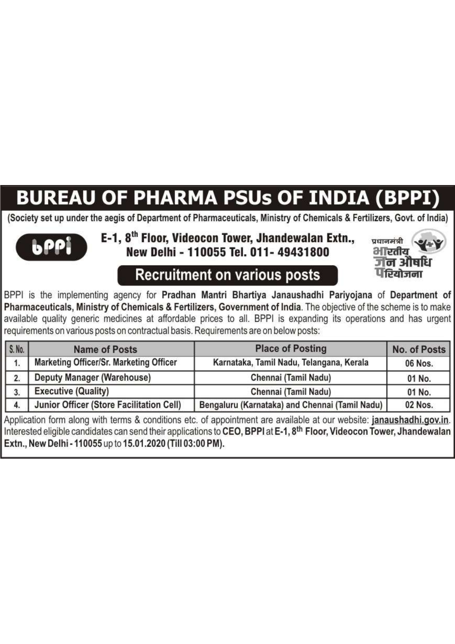# **BUREAU OF PHARMA PSUs OF INDIA (BPPI)**

(Society set up under the aegis of Department of Pharmaceuticals, Ministry of Chemicals & Fertilizers, Govt. of India)



### E-1, 8<sup>th</sup> Floor, Videocon Tower, Jhandewalan Extn., New Delhi - 110055 Tel. 011- 49431800



**Recruitment on various posts** 

BPPI is the implementing agency for Pradhan Mantri Bhartiya Janaushadhi Pariyojana of Department of Pharmaceuticals, Ministry of Chemicals & Fertilizers, Government of India. The objective of the scheme is to make available quality generic medicines at affordable prices to all. BPPI is expanding its operations and has urgent requirements on various posts on contractual basis. Requirements are on below posts:

| S. No.           | <b>Name of Posts</b>                     | <b>Place of Posting</b>                        | No. of Posts |
|------------------|------------------------------------------|------------------------------------------------|--------------|
|                  | Marketing Officer/Sr. Marketing Officer  | Karnataka, Tamil Nadu, Telangana, Kerala       | 06 Nos.      |
| 2.               | <b>Deputy Manager (Warehouse)</b>        | Chennai (Tamil Nadu)                           | 01 No.       |
| $\overline{3}$ . | <b>Executive (Quality)</b>               | Chennai (Tamil Nadu)                           | 01 No.       |
| 4.               | Junior Officer (Store Facilitation Cell) | Bengaluru (Karnataka) and Chennai (Tamil Nadu) | 02 Nos.      |

Application form along with terms & conditions etc. of appointment are available at our website: janaushadhi.gov.in. Interested eligible candidates can send their applications to CEO, BPPI at E-1, 8<sup>th</sup> Floor, Videocon Tower, Jhandewalan Extn., New Delhi - 110055 up to 15.01.2020 (Till 03:00 PM).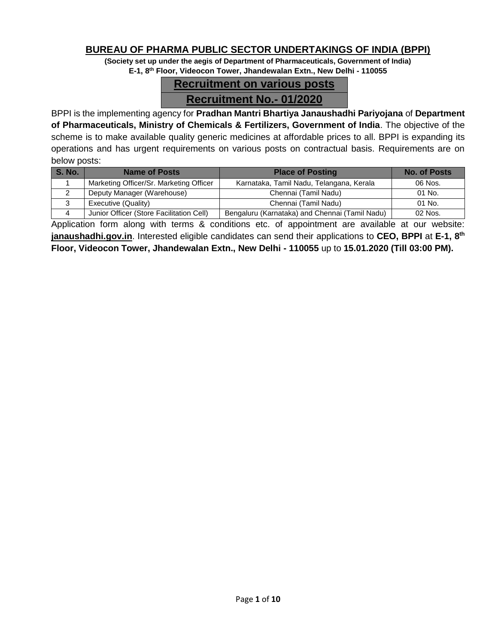#### **BUREAU OF PHARMA PUBLIC SECTOR UNDERTAKINGS OF INDIA (BPPI)**

**(Society set up under the aegis of Department of Pharmaceuticals, Government of India) E-1, 8th Floor, Videocon Tower, Jhandewalan Extn., New Delhi - 110055**

# **Recruitment on various posts Recruitment No.- 01/2020**

BPPI is the implementing agency for **Pradhan Mantri Bhartiya Janaushadhi Pariyojana** of **Department of Pharmaceuticals, Ministry of Chemicals & Fertilizers, Government of India**. The objective of the scheme is to make available quality generic medicines at affordable prices to all. BPPI is expanding its operations and has urgent requirements on various posts on contractual basis. Requirements are on below posts:

| <b>S. No.</b> | <b>Name of Posts</b>                     | <b>Place of Posting</b>                        |         |  |  |
|---------------|------------------------------------------|------------------------------------------------|---------|--|--|
|               | Marketing Officer/Sr. Marketing Officer  | Karnataka, Tamil Nadu, Telangana, Kerala       | 06 Nos. |  |  |
|               | Deputy Manager (Warehouse)               | Chennai (Tamil Nadu)                           | 01 No.  |  |  |
|               | Executive (Quality)                      | Chennai (Tamil Nadu)                           | 01 No.  |  |  |
|               | Junior Officer (Store Facilitation Cell) | Bengaluru (Karnataka) and Chennai (Tamil Nadu) | 02 Nos. |  |  |

Application form along with terms & conditions etc. of appointment are available at our website: **janaushadhi.gov.in**. Interested eligible candidates can send their applications to **CEO, BPPI** at **E-1, 8th Floor, Videocon Tower, Jhandewalan Extn., New Delhi - 110055** up to **15.01.2020 (Till 03:00 PM).**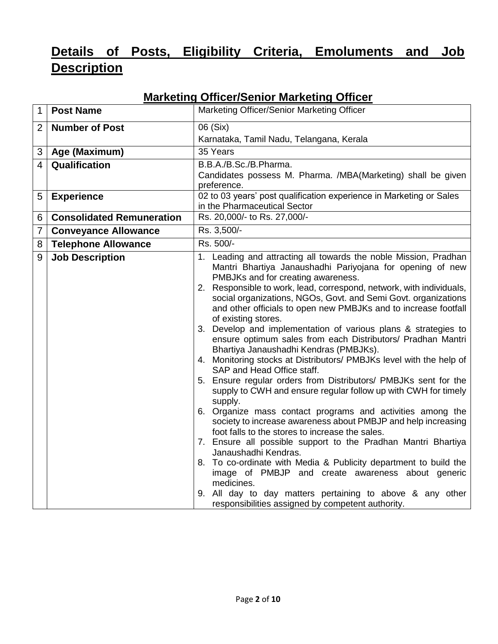# **Details of Posts, Eligibility Criteria, Emoluments and Job Description**

| 1              | <b>Post Name</b>                 | Marketing Officer/Senior Marketing Officer                                                                                                                                                                                                                                                                                                                                                                                                                                                                                                                                                                                                                                                                                                                                                                                                                                                                                                                                                                                                                                                                                                                                                                                                                                                                                                                                  |  |  |  |  |  |
|----------------|----------------------------------|-----------------------------------------------------------------------------------------------------------------------------------------------------------------------------------------------------------------------------------------------------------------------------------------------------------------------------------------------------------------------------------------------------------------------------------------------------------------------------------------------------------------------------------------------------------------------------------------------------------------------------------------------------------------------------------------------------------------------------------------------------------------------------------------------------------------------------------------------------------------------------------------------------------------------------------------------------------------------------------------------------------------------------------------------------------------------------------------------------------------------------------------------------------------------------------------------------------------------------------------------------------------------------------------------------------------------------------------------------------------------------|--|--|--|--|--|
| $\overline{2}$ | <b>Number of Post</b>            | 06 (Six)                                                                                                                                                                                                                                                                                                                                                                                                                                                                                                                                                                                                                                                                                                                                                                                                                                                                                                                                                                                                                                                                                                                                                                                                                                                                                                                                                                    |  |  |  |  |  |
|                |                                  | Karnataka, Tamil Nadu, Telangana, Kerala                                                                                                                                                                                                                                                                                                                                                                                                                                                                                                                                                                                                                                                                                                                                                                                                                                                                                                                                                                                                                                                                                                                                                                                                                                                                                                                                    |  |  |  |  |  |
| 3              | Age (Maximum)                    | 35 Years                                                                                                                                                                                                                                                                                                                                                                                                                                                                                                                                                                                                                                                                                                                                                                                                                                                                                                                                                                                                                                                                                                                                                                                                                                                                                                                                                                    |  |  |  |  |  |
| 4              | <b>Qualification</b>             | B.B.A./B.Sc./B.Pharma.                                                                                                                                                                                                                                                                                                                                                                                                                                                                                                                                                                                                                                                                                                                                                                                                                                                                                                                                                                                                                                                                                                                                                                                                                                                                                                                                                      |  |  |  |  |  |
|                |                                  | Candidates possess M. Pharma. /MBA(Marketing) shall be given<br>preference.                                                                                                                                                                                                                                                                                                                                                                                                                                                                                                                                                                                                                                                                                                                                                                                                                                                                                                                                                                                                                                                                                                                                                                                                                                                                                                 |  |  |  |  |  |
| 5              | <b>Experience</b>                | 02 to 03 years' post qualification experience in Marketing or Sales                                                                                                                                                                                                                                                                                                                                                                                                                                                                                                                                                                                                                                                                                                                                                                                                                                                                                                                                                                                                                                                                                                                                                                                                                                                                                                         |  |  |  |  |  |
|                |                                  | in the Pharmaceutical Sector                                                                                                                                                                                                                                                                                                                                                                                                                                                                                                                                                                                                                                                                                                                                                                                                                                                                                                                                                                                                                                                                                                                                                                                                                                                                                                                                                |  |  |  |  |  |
| 6              | <b>Consolidated Remuneration</b> | Rs. 20,000/- to Rs. 27,000/-                                                                                                                                                                                                                                                                                                                                                                                                                                                                                                                                                                                                                                                                                                                                                                                                                                                                                                                                                                                                                                                                                                                                                                                                                                                                                                                                                |  |  |  |  |  |
| 7              | <b>Conveyance Allowance</b>      | Rs. 3,500/-                                                                                                                                                                                                                                                                                                                                                                                                                                                                                                                                                                                                                                                                                                                                                                                                                                                                                                                                                                                                                                                                                                                                                                                                                                                                                                                                                                 |  |  |  |  |  |
| 8              | <b>Telephone Allowance</b>       | Rs. 500/-                                                                                                                                                                                                                                                                                                                                                                                                                                                                                                                                                                                                                                                                                                                                                                                                                                                                                                                                                                                                                                                                                                                                                                                                                                                                                                                                                                   |  |  |  |  |  |
| 9              | <b>Job Description</b>           | 1. Leading and attracting all towards the noble Mission, Pradhan<br>Mantri Bhartiya Janaushadhi Pariyojana for opening of new<br>PMBJKs and for creating awareness.<br>2. Responsible to work, lead, correspond, network, with individuals,<br>social organizations, NGOs, Govt. and Semi Govt. organizations<br>and other officials to open new PMBJKs and to increase footfall<br>of existing stores.<br>3. Develop and implementation of various plans & strategies to<br>ensure optimum sales from each Distributors/ Pradhan Mantri<br>Bhartiya Janaushadhi Kendras (PMBJKs).<br>4. Monitoring stocks at Distributors/ PMBJKs level with the help of<br>SAP and Head Office staff.<br>5. Ensure regular orders from Distributors/ PMBJKs sent for the<br>supply to CWH and ensure regular follow up with CWH for timely<br>supply.<br>6. Organize mass contact programs and activities among the<br>society to increase awareness about PMBJP and help increasing<br>foot falls to the stores to increase the sales.<br>7. Ensure all possible support to the Pradhan Mantri Bhartiya<br>Janaushadhi Kendras.<br>8. To co-ordinate with Media & Publicity department to build the<br>image of PMBJP and create awareness about generic<br>medicines.<br>9. All day to day matters pertaining to above & any other<br>responsibilities assigned by competent authority. |  |  |  |  |  |

## **Marketing Officer/Senior Marketing Officer**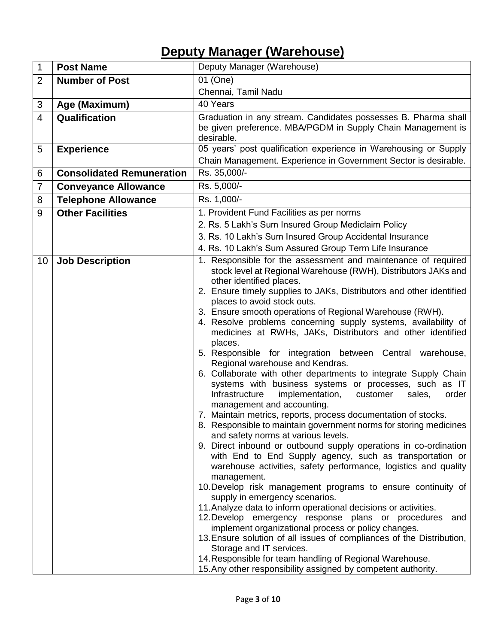# **Deputy Manager (Warehouse)**

| $\mathbf{1}$   | <b>Post Name</b>                 | Deputy Manager (Warehouse)                                                                     |  |  |  |  |  |  |
|----------------|----------------------------------|------------------------------------------------------------------------------------------------|--|--|--|--|--|--|
| $\overline{2}$ | <b>Number of Post</b>            | 01 (One)                                                                                       |  |  |  |  |  |  |
|                |                                  | Chennai, Tamil Nadu                                                                            |  |  |  |  |  |  |
| 3              | Age (Maximum)                    | 40 Years                                                                                       |  |  |  |  |  |  |
| $\overline{4}$ | Qualification                    | Graduation in any stream. Candidates possesses B. Pharma shall                                 |  |  |  |  |  |  |
|                |                                  | be given preference. MBA/PGDM in Supply Chain Management is                                    |  |  |  |  |  |  |
|                |                                  | desirable.                                                                                     |  |  |  |  |  |  |
| 5              | <b>Experience</b>                | 05 years' post qualification experience in Warehousing or Supply                               |  |  |  |  |  |  |
|                |                                  | Chain Management. Experience in Government Sector is desirable.                                |  |  |  |  |  |  |
| 6              | <b>Consolidated Remuneration</b> | Rs. 35,000/-                                                                                   |  |  |  |  |  |  |
| 7              | <b>Conveyance Allowance</b>      | Rs. 5,000/-                                                                                    |  |  |  |  |  |  |
| 8              | <b>Telephone Allowance</b>       | Rs. 1,000/-                                                                                    |  |  |  |  |  |  |
| 9              | <b>Other Facilities</b>          | 1. Provident Fund Facilities as per norms                                                      |  |  |  |  |  |  |
|                |                                  | 2. Rs. 5 Lakh's Sum Insured Group Mediclaim Policy                                             |  |  |  |  |  |  |
|                |                                  | 3. Rs. 10 Lakh's Sum Insured Group Accidental Insurance                                        |  |  |  |  |  |  |
|                |                                  | 4. Rs. 10 Lakh's Sum Assured Group Term Life Insurance                                         |  |  |  |  |  |  |
| 10             | <b>Job Description</b>           | 1. Responsible for the assessment and maintenance of required                                  |  |  |  |  |  |  |
|                |                                  | stock level at Regional Warehouse (RWH), Distributors JAKs and<br>other identified places.     |  |  |  |  |  |  |
|                |                                  | 2. Ensure timely supplies to JAKs, Distributors and other identified                           |  |  |  |  |  |  |
|                |                                  | places to avoid stock outs.                                                                    |  |  |  |  |  |  |
|                |                                  | 3. Ensure smooth operations of Regional Warehouse (RWH).                                       |  |  |  |  |  |  |
|                |                                  | 4. Resolve problems concerning supply systems, availability of                                 |  |  |  |  |  |  |
|                |                                  | medicines at RWHs, JAKs, Distributors and other identified                                     |  |  |  |  |  |  |
|                |                                  | places.<br>5. Responsible for integration between Central warehouse,                           |  |  |  |  |  |  |
|                |                                  | Regional warehouse and Kendras.                                                                |  |  |  |  |  |  |
|                |                                  | 6. Collaborate with other departments to integrate Supply Chain                                |  |  |  |  |  |  |
|                |                                  | systems with business systems or processes, such as IT                                         |  |  |  |  |  |  |
|                |                                  | Infrastructure<br>implementation,<br>order<br>customer<br>sales,                               |  |  |  |  |  |  |
|                |                                  | management and accounting.<br>7. Maintain metrics, reports, process documentation of stocks.   |  |  |  |  |  |  |
|                |                                  | 8. Responsible to maintain government norms for storing medicines                              |  |  |  |  |  |  |
|                |                                  | and safety norms at various levels.                                                            |  |  |  |  |  |  |
|                |                                  | 9. Direct inbound or outbound supply operations in co-ordination                               |  |  |  |  |  |  |
|                |                                  | with End to End Supply agency, such as transportation or                                       |  |  |  |  |  |  |
|                |                                  | warehouse activities, safety performance, logistics and quality                                |  |  |  |  |  |  |
|                |                                  | management.                                                                                    |  |  |  |  |  |  |
|                |                                  | 10. Develop risk management programs to ensure continuity of<br>supply in emergency scenarios. |  |  |  |  |  |  |
|                |                                  | 11. Analyze data to inform operational decisions or activities.                                |  |  |  |  |  |  |
|                |                                  | 12. Develop emergency response plans or procedures<br>and                                      |  |  |  |  |  |  |
|                |                                  | implement organizational process or policy changes.                                            |  |  |  |  |  |  |
|                |                                  | 13. Ensure solution of all issues of compliances of the Distribution,                          |  |  |  |  |  |  |
|                |                                  | Storage and IT services.<br>14. Responsible for team handling of Regional Warehouse.           |  |  |  |  |  |  |
|                |                                  | 15. Any other responsibility assigned by competent authority.                                  |  |  |  |  |  |  |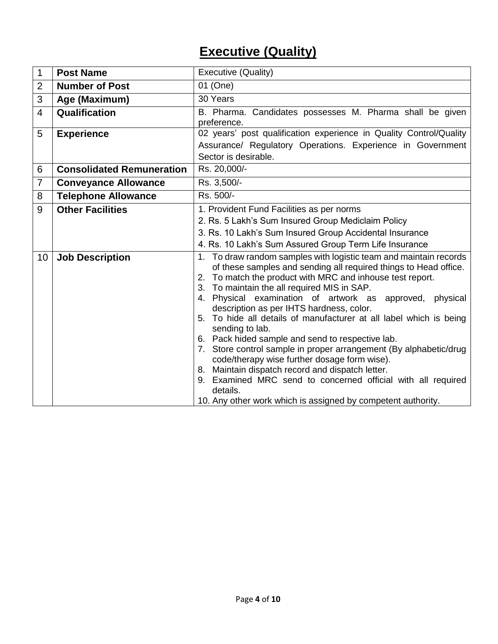# **Executive (Quality)**

| $\mathbf{1}$   | <b>Post Name</b>                 | Executive (Quality)                                                                                  |  |  |  |  |  |
|----------------|----------------------------------|------------------------------------------------------------------------------------------------------|--|--|--|--|--|
| $\overline{2}$ | <b>Number of Post</b>            | 01 (One)                                                                                             |  |  |  |  |  |
| 3              | Age (Maximum)                    | 30 Years                                                                                             |  |  |  |  |  |
| $\overline{4}$ | Qualification                    | B. Pharma. Candidates possesses M. Pharma shall be given                                             |  |  |  |  |  |
|                |                                  | preference.                                                                                          |  |  |  |  |  |
| 5              | <b>Experience</b>                | 02 years' post qualification experience in Quality Control/Quality                                   |  |  |  |  |  |
|                |                                  | Assurance/ Regulatory Operations. Experience in Government                                           |  |  |  |  |  |
|                |                                  | Sector is desirable.                                                                                 |  |  |  |  |  |
| 6              | <b>Consolidated Remuneration</b> | Rs. 20,000/-                                                                                         |  |  |  |  |  |
| $\overline{7}$ | <b>Conveyance Allowance</b>      | Rs. 3,500/-                                                                                          |  |  |  |  |  |
| 8              | <b>Telephone Allowance</b>       | Rs. 500/-                                                                                            |  |  |  |  |  |
| 9              | <b>Other Facilities</b>          | 1. Provident Fund Facilities as per norms                                                            |  |  |  |  |  |
|                |                                  | 2. Rs. 5 Lakh's Sum Insured Group Mediclaim Policy                                                   |  |  |  |  |  |
|                |                                  | 3. Rs. 10 Lakh's Sum Insured Group Accidental Insurance                                              |  |  |  |  |  |
|                |                                  | 4. Rs. 10 Lakh's Sum Assured Group Term Life Insurance                                               |  |  |  |  |  |
| 10             | <b>Job Description</b>           | 1. To draw random samples with logistic team and maintain records                                    |  |  |  |  |  |
|                |                                  | of these samples and sending all required things to Head office.                                     |  |  |  |  |  |
|                |                                  | 2. To match the product with MRC and inhouse test report.                                            |  |  |  |  |  |
|                |                                  | 3. To maintain the all required MIS in SAP.                                                          |  |  |  |  |  |
|                |                                  | 4. Physical examination of artwork as approved, physical<br>description as per IHTS hardness, color. |  |  |  |  |  |
|                |                                  | 5. To hide all details of manufacturer at all label which is being                                   |  |  |  |  |  |
|                |                                  | sending to lab.                                                                                      |  |  |  |  |  |
|                |                                  | 6. Pack hided sample and send to respective lab.                                                     |  |  |  |  |  |
|                |                                  | 7. Store control sample in proper arrangement (By alphabetic/drug                                    |  |  |  |  |  |
|                |                                  | code/therapy wise further dosage form wise).                                                         |  |  |  |  |  |
|                |                                  | 8. Maintain dispatch record and dispatch letter.                                                     |  |  |  |  |  |
|                |                                  | 9. Examined MRC send to concerned official with all required<br>details.                             |  |  |  |  |  |
|                |                                  | 10. Any other work which is assigned by competent authority.                                         |  |  |  |  |  |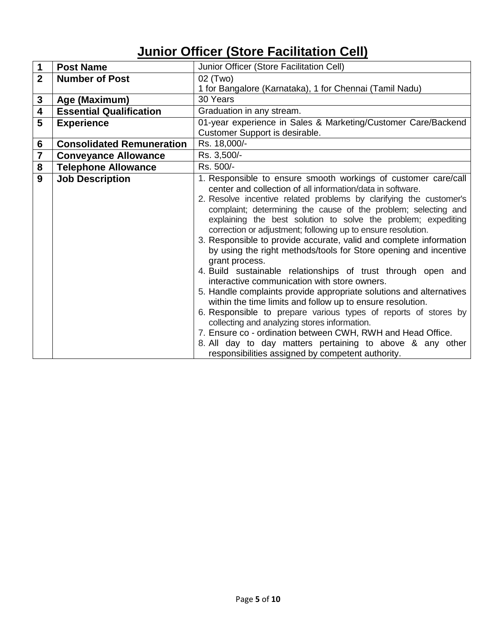# **Junior Officer (Store Facilitation Cell)**

| 1              | <b>Post Name</b>                 | Junior Officer (Store Facilitation Cell)                                                                                                                                                                                                                                                                                                                                                                                                                                                                                                                                                                                                                                                                                                                                                                                                                                                                                                                                                                                                                                                                                   |
|----------------|----------------------------------|----------------------------------------------------------------------------------------------------------------------------------------------------------------------------------------------------------------------------------------------------------------------------------------------------------------------------------------------------------------------------------------------------------------------------------------------------------------------------------------------------------------------------------------------------------------------------------------------------------------------------------------------------------------------------------------------------------------------------------------------------------------------------------------------------------------------------------------------------------------------------------------------------------------------------------------------------------------------------------------------------------------------------------------------------------------------------------------------------------------------------|
| $\overline{2}$ | <b>Number of Post</b>            | 02 (Two)                                                                                                                                                                                                                                                                                                                                                                                                                                                                                                                                                                                                                                                                                                                                                                                                                                                                                                                                                                                                                                                                                                                   |
|                |                                  | 1 for Bangalore (Karnataka), 1 for Chennai (Tamil Nadu)                                                                                                                                                                                                                                                                                                                                                                                                                                                                                                                                                                                                                                                                                                                                                                                                                                                                                                                                                                                                                                                                    |
| 3              | Age (Maximum)                    | 30 Years                                                                                                                                                                                                                                                                                                                                                                                                                                                                                                                                                                                                                                                                                                                                                                                                                                                                                                                                                                                                                                                                                                                   |
| 4              | <b>Essential Qualification</b>   | Graduation in any stream.                                                                                                                                                                                                                                                                                                                                                                                                                                                                                                                                                                                                                                                                                                                                                                                                                                                                                                                                                                                                                                                                                                  |
| 5              | <b>Experience</b>                | 01-year experience in Sales & Marketing/Customer Care/Backend<br>Customer Support is desirable.                                                                                                                                                                                                                                                                                                                                                                                                                                                                                                                                                                                                                                                                                                                                                                                                                                                                                                                                                                                                                            |
| 6              | <b>Consolidated Remuneration</b> | Rs. 18,000/-                                                                                                                                                                                                                                                                                                                                                                                                                                                                                                                                                                                                                                                                                                                                                                                                                                                                                                                                                                                                                                                                                                               |
| 7              | <b>Conveyance Allowance</b>      | Rs. 3,500/-                                                                                                                                                                                                                                                                                                                                                                                                                                                                                                                                                                                                                                                                                                                                                                                                                                                                                                                                                                                                                                                                                                                |
| 8              | <b>Telephone Allowance</b>       | Rs. 500/-                                                                                                                                                                                                                                                                                                                                                                                                                                                                                                                                                                                                                                                                                                                                                                                                                                                                                                                                                                                                                                                                                                                  |
| 9              | <b>Job Description</b>           | 1. Responsible to ensure smooth workings of customer care/call<br>center and collection of all information/data in software.<br>2. Resolve incentive related problems by clarifying the customer's<br>complaint; determining the cause of the problem; selecting and<br>explaining the best solution to solve the problem; expediting<br>correction or adjustment; following up to ensure resolution.<br>3. Responsible to provide accurate, valid and complete information<br>by using the right methods/tools for Store opening and incentive<br>grant process.<br>4. Build sustainable relationships of trust through open and<br>interactive communication with store owners.<br>5. Handle complaints provide appropriate solutions and alternatives<br>within the time limits and follow up to ensure resolution.<br>6. Responsible to prepare various types of reports of stores by<br>collecting and analyzing stores information.<br>7. Ensure co - ordination between CWH, RWH and Head Office.<br>8. All day to day matters pertaining to above & any other<br>responsibilities assigned by competent authority. |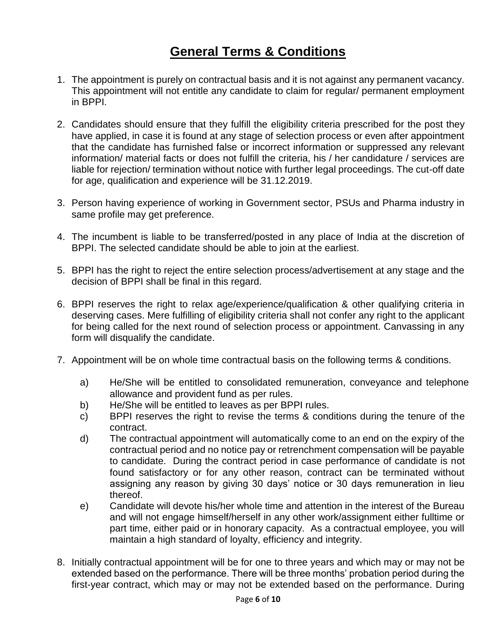# **General Terms & Conditions**

- 1. The appointment is purely on contractual basis and it is not against any permanent vacancy. This appointment will not entitle any candidate to claim for regular/ permanent employment in BPPI.
- 2. Candidates should ensure that they fulfill the eligibility criteria prescribed for the post they have applied, in case it is found at any stage of selection process or even after appointment that the candidate has furnished false or incorrect information or suppressed any relevant information/ material facts or does not fulfill the criteria, his / her candidature / services are liable for rejection/ termination without notice with further legal proceedings. The cut-off date for age, qualification and experience will be 31.12.2019.
- 3. Person having experience of working in Government sector, PSUs and Pharma industry in same profile may get preference.
- 4. The incumbent is liable to be transferred/posted in any place of India at the discretion of BPPI. The selected candidate should be able to join at the earliest.
- 5. BPPI has the right to reject the entire selection process/advertisement at any stage and the decision of BPPI shall be final in this regard.
- 6. BPPI reserves the right to relax age/experience/qualification & other qualifying criteria in deserving cases. Mere fulfilling of eligibility criteria shall not confer any right to the applicant for being called for the next round of selection process or appointment. Canvassing in any form will disqualify the candidate.
- 7. Appointment will be on whole time contractual basis on the following terms & conditions.
	- a) He/She will be entitled to consolidated remuneration, conveyance and telephone allowance and provident fund as per rules.
	- b) He/She will be entitled to leaves as per BPPI rules.
	- c) BPPI reserves the right to revise the terms & conditions during the tenure of the contract.
	- d) The contractual appointment will automatically come to an end on the expiry of the contractual period and no notice pay or retrenchment compensation will be payable to candidate. During the contract period in case performance of candidate is not found satisfactory or for any other reason, contract can be terminated without assigning any reason by giving 30 days' notice or 30 days remuneration in lieu thereof.
	- e) Candidate will devote his/her whole time and attention in the interest of the Bureau and will not engage himself/herself in any other work/assignment either fulltime or part time, either paid or in honorary capacity. As a contractual employee, you will maintain a high standard of loyalty, efficiency and integrity.
- 8. Initially contractual appointment will be for one to three years and which may or may not be extended based on the performance. There will be three months' probation period during the first-year contract, which may or may not be extended based on the performance. During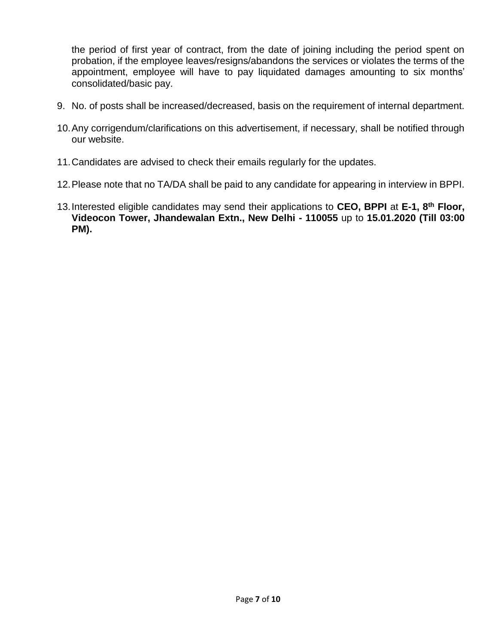the period of first year of contract, from the date of joining including the period spent on probation, if the employee leaves/resigns/abandons the services or violates the terms of the appointment, employee will have to pay liquidated damages amounting to six months' consolidated/basic pay.

- 9. No. of posts shall be increased/decreased, basis on the requirement of internal department.
- 10.Any corrigendum/clarifications on this advertisement, if necessary, shall be notified through our website.
- 11.Candidates are advised to check their emails regularly for the updates.
- 12.Please note that no TA/DA shall be paid to any candidate for appearing in interview in BPPI.
- 13.Interested eligible candidates may send their applications to **CEO, BPPI** at **E-1, 8th Floor, Videocon Tower, Jhandewalan Extn., New Delhi - 110055** up to **15.01.2020 (Till 03:00 PM).**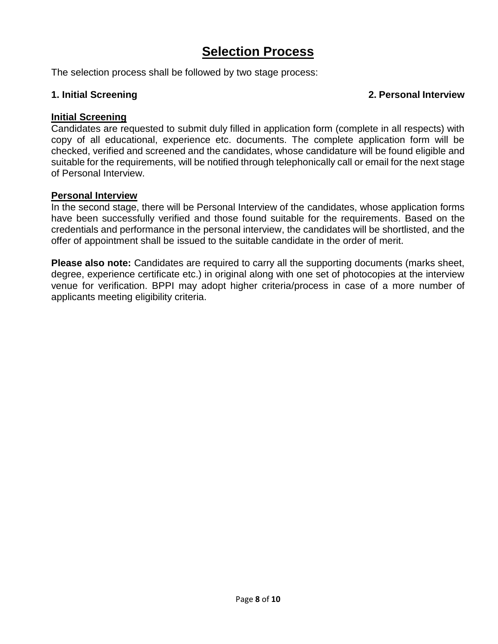# **Selection Process**

The selection process shall be followed by two stage process:

#### **1. Initial Screening 2. Personal Interview**

#### **Initial Screening**

Candidates are requested to submit duly filled in application form (complete in all respects) with copy of all educational, experience etc. documents. The complete application form will be checked, verified and screened and the candidates, whose candidature will be found eligible and suitable for the requirements, will be notified through telephonically call or email for the next stage of Personal Interview.

#### **Personal Interview**

In the second stage, there will be Personal Interview of the candidates, whose application forms have been successfully verified and those found suitable for the requirements. Based on the credentials and performance in the personal interview, the candidates will be shortlisted, and the offer of appointment shall be issued to the suitable candidate in the order of merit.

**Please also note:** Candidates are required to carry all the supporting documents (marks sheet, degree, experience certificate etc.) in original along with one set of photocopies at the interview venue for verification. BPPI may adopt higher criteria/process in case of a more number of applicants meeting eligibility criteria.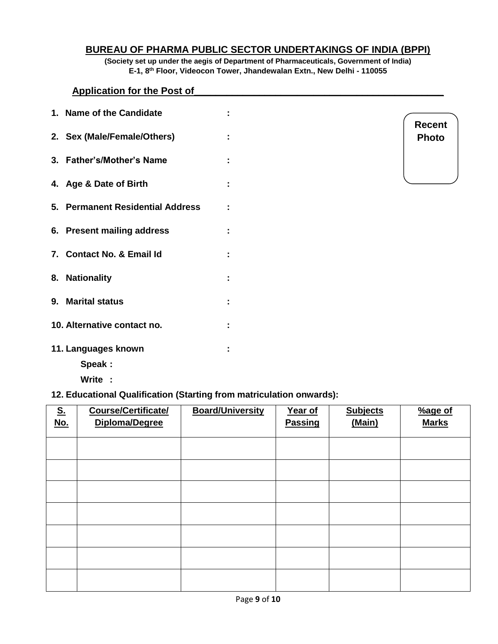#### **BUREAU OF PHARMA PUBLIC SECTOR UNDERTAKINGS OF INDIA (BPPI)**

**(Society set up under the aegis of Department of Pharmaceuticals, Government of India) E-1, 8th Floor, Videocon Tower, Jhandewalan Extn., New Delhi - 110055**

#### **Application for the Post of\_\_\_\_\_\_\_\_\_\_\_\_\_\_\_\_\_\_\_\_\_\_\_\_\_\_\_\_\_\_\_\_\_\_\_\_\_\_\_\_\_\_\_\_\_\_**

| 1. Name of the Candidate         |   |
|----------------------------------|---|
| 2. Sex (Male/Female/Others)      |   |
| 3. Father's/Mother's Name        |   |
| 4. Age & Date of Birth           |   |
| 5. Permanent Residential Address | ÷ |
| 6. Present mailing address       |   |
| 7. Contact No. & Email Id        | ٠ |
| 8. Nationality                   |   |
| 9. Marital status                |   |
| 10. Alternative contact no.      |   |
| 11. Languages known<br>Speak:    | ÷ |

**Write :**

#### **12. Educational Qualification (Starting from matriculation onwards):**

| $S_{\cdot}$<br><u>No.</u> | Course/Certificate/<br>Diploma/Degree | <b>Board/University</b> | Year of<br><b>Passing</b> | <b>Subjects</b><br>(Main) | %age of<br><b>Marks</b> |
|---------------------------|---------------------------------------|-------------------------|---------------------------|---------------------------|-------------------------|
|                           |                                       |                         |                           |                           |                         |
|                           |                                       |                         |                           |                           |                         |
|                           |                                       |                         |                           |                           |                         |
|                           |                                       |                         |                           |                           |                         |
|                           |                                       |                         |                           |                           |                         |
|                           |                                       |                         |                           |                           |                         |
|                           |                                       |                         |                           |                           |                         |